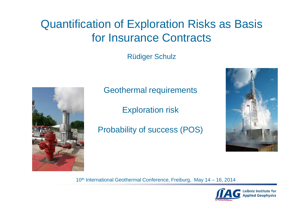# Quantification of Exploration Risks as Basisfor Insurance Contracts

Rüdiger Schulz



Geothermal requirements

Exploration risk

Probability of success (POS)



10<sup>th</sup> International Geothermal Conference, Freiburg, May 14 – 16, 2014

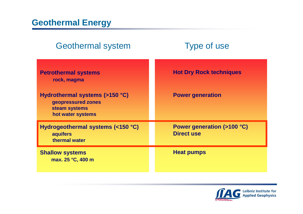| <b>Geothermal system</b>                                                                   | <b>Type of use</b>                              |
|--------------------------------------------------------------------------------------------|-------------------------------------------------|
| <b>Petrothermal systems</b><br>rock, magma                                                 | <b>Hot Dry Rock techniques</b>                  |
| Hydrothermal systems (>150 °C)<br>geopressured zones<br>steam systems<br>hot water systems | <b>Power generation</b>                         |
| Hydrogeothermal systems (<150 °C)<br>aquifers<br>thermal water                             | Power generation (>100 °C)<br><b>Direct use</b> |
| <b>Shallow systems</b><br>max. 25 °C, 400 m                                                | <b>Heat pumps</b>                               |

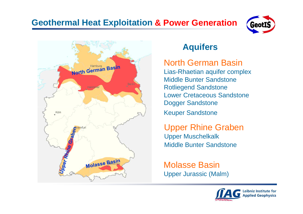# **Geothermal Heat Exploitation & Power Generation**





## **Aquifers**

## North German Basin

 Lias-Rhaetian aquifer complexMiddle Bunter SandstoneRotliegend Sandstone Lower Cretaceous SandstoneDogger SandstoneKeuper Sandstone

Upper Rhine GrabenUpper Muschelkalk Middle Bunter Sandstone

Molasse BasinUpper Jurassic (Malm)

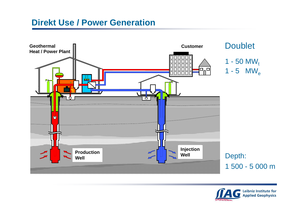#### **Direkt Use / Power Generation**



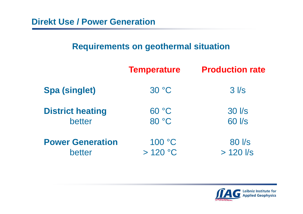## **Requirements on geothermal situation**

|                         | <b>Temperature</b> | <b>Production rate</b> |
|-------------------------|--------------------|------------------------|
| <b>Spa (singlet)</b>    | 30 °C              | $3$ $\sqrt{s}$         |
| <b>District heating</b> | 60 °C              | 30 l/s                 |
| better                  | 80 °C              | 60 l/s                 |
| <b>Power Generation</b> | 100 °C             | 80 l/s                 |
| better                  | >120 °C            | $> 120$ $\text{/s}$    |

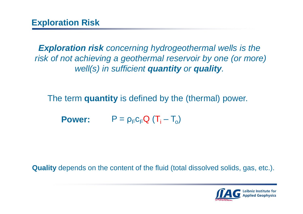**Exploration risk** concerning hydrogeothermal wells is the risk of not achieving a geothermal reservoir by one (or more)well(s) in sufficient **quantity** or **quality**.

The term **quantity** is defined by the (thermal) power.

**Power:**  $P = \rho_F c_F Q (T_i - T_o)$ 

**Quality** depends on the content of the fluid (total dissolved solids, gas, etc.).

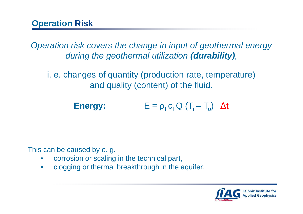Operation risk covers the change in input of geothermal energy during the geothermal utilization **(durability)**,

i. e. changes of quantity (production rate, temperature)and quality (content) of the fluid.

> **Energy:** $E = \rho_F c_F Q (T_i - T_o) \Delta t$

This can be caused by e. g.

- •corrosion or scaling in the technical part,
- $\bullet$ clogging or thermal breakthrough in the aquifer.

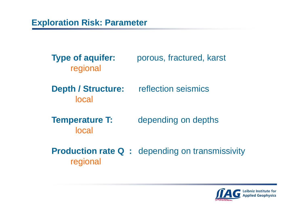**Type of aquifer:** porous, fractured, karst regional

**Depth / Structure:** reflection seismics local

**Temperature T:** depending on depthslocal

**Production rate Q** : depending on transmissivity regional

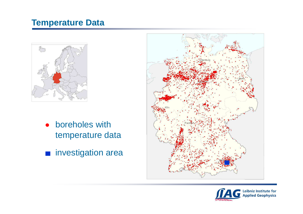### **Temperature Data**



- boreholes with $\bullet$ temperature data
- **n** investigation area



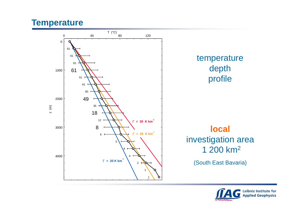#### **Temperature**



![](_page_9_Picture_2.jpeg)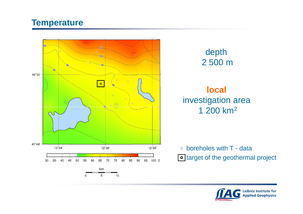#### **Temperature**

![](_page_10_Figure_1.jpeg)

![](_page_10_Figure_2.jpeg)

## **local**investigation area1 200 km2

boreholes with T - datatarget of the geothermal project

![](_page_10_Picture_5.jpeg)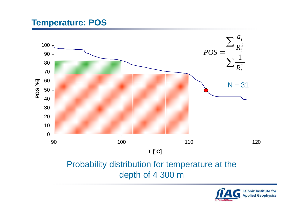#### **Temperature: POS**

![](_page_11_Figure_1.jpeg)

![](_page_11_Picture_2.jpeg)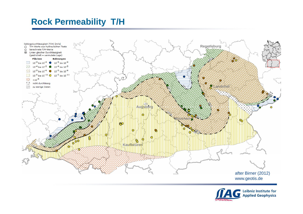## **Rock Permeability T/H**

![](_page_12_Figure_1.jpeg)

![](_page_12_Picture_2.jpeg)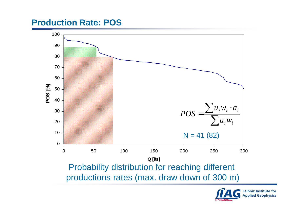#### **Production Rate: POS**

![](_page_13_Figure_1.jpeg)

![](_page_13_Picture_2.jpeg)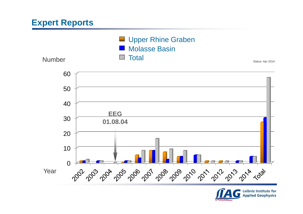## **Expert Reports**

![](_page_14_Figure_1.jpeg)

![](_page_14_Picture_2.jpeg)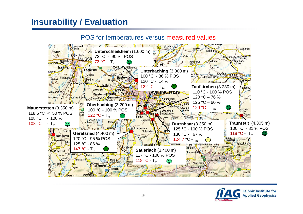#### **Insurability / Evaluation**

![](_page_15_Picture_1.jpeg)

#### POS for temperatures versus measured values

![](_page_15_Picture_3.jpeg)

**.**